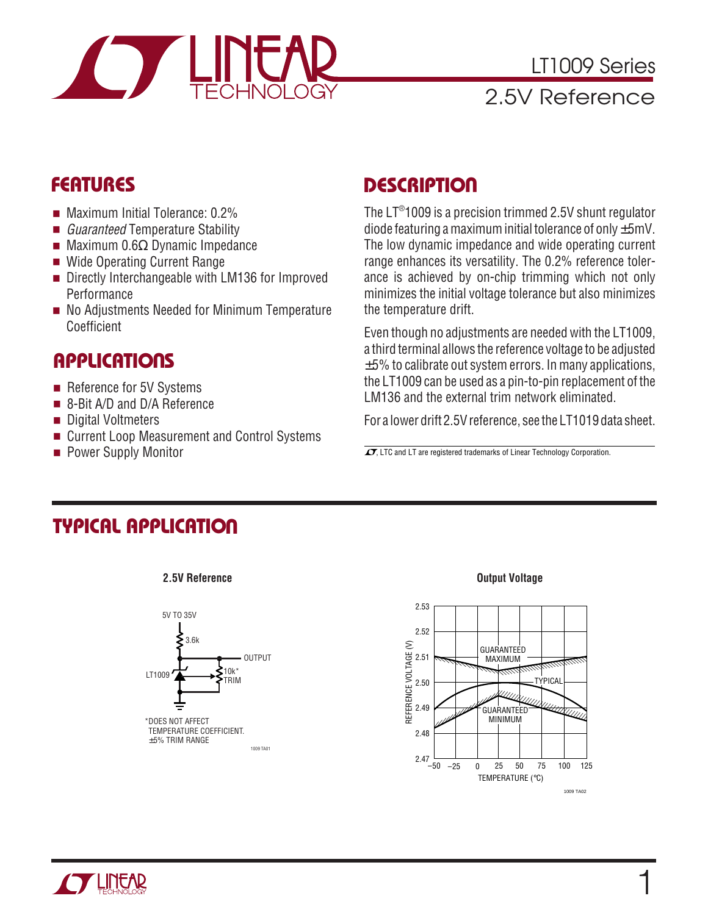

LT1009 Series 2.5V Reference

### **FEATURES**

- Maximum Initial Tolerance: 0.2%
- Guaranteed Temperature Stability
- Maximum 0.6Ω Dynamic Impedance
- Wide Operating Current Range
- Directly Interchangeable with LM136 for Improved **Performance**
- No Adjustments Needed for Minimum Temperature Coefficient

#### **APPLICATIONS**

- Reference for 5V Systems
- 8-Bit A/D and D/A Reference
- Digital Voltmeters
- Current Loop Measurement and Control Systems
- Power Supply Monitor

## **DESCRIPTION**

The LT® 1009 is a precision trimmed 2.5V shunt regulator diode featuring a maximum initial tolerance of only  $\pm 5$ mV. The low dynamic impedance and wide operating current range enhances its versatility. The 0.2% reference tolerance is achieved by on-chip trimming which not only minimizes the initial voltage tolerance but also minimizes the temperature drift.

Even though no adjustments are needed with the LT1009, a third terminal allows the reference voltage to be adjusted  $\pm$ 5% to calibrate out system errors. In many applications, the LT1009 can be used as a pin-to-pin replacement of the LM136 and the external trim network eliminated.

For a lower drift 2.5V reference, see the LT1019 data sheet.

 $\overline{\mathcal{I}}$ , LTC and LT are registered trademarks of Linear Technology Corporation.

#### **TYPICAL APPLICATION U**



**2.5V Reference**

#### **Output Voltage**



1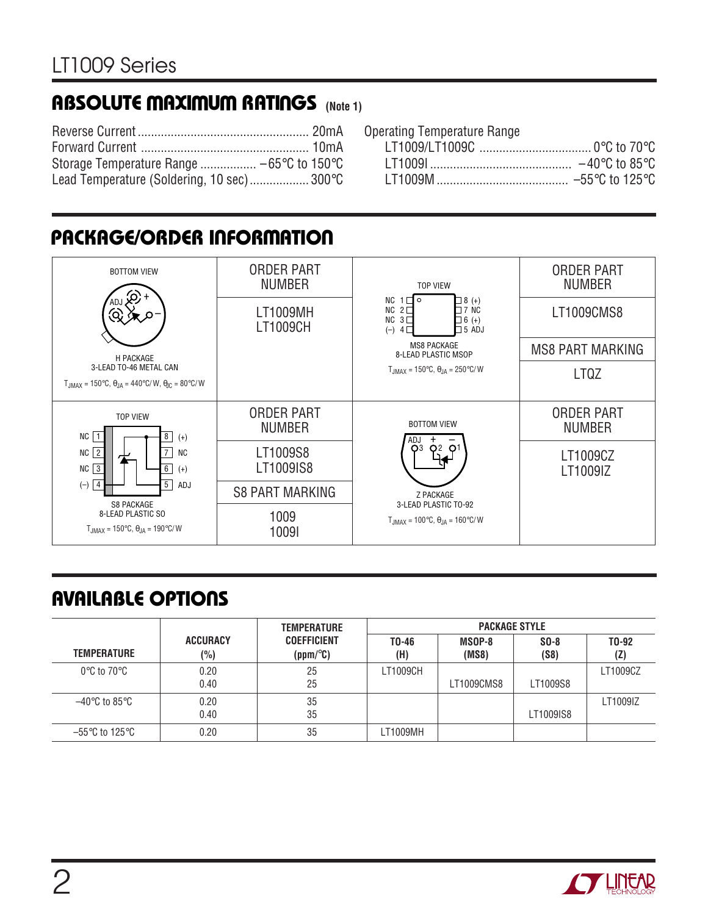# **ABSOLUTE MAXIMUM RATINGS** (Note 1)

| Lead Temperature (Soldering, 10 sec) 300°C |  |
|--------------------------------------------|--|

Operating Temperature Range LT1009/LT1009C .................................. 0°C to 70°C

| $-40^{\circ}$ C to 85 $^{\circ}$ C  |
|-------------------------------------|
| $-55^{\circ}$ C to 125 $^{\circ}$ C |

## **PACKAGE/ORDER INFORMATION**



# **AVAILABLE OPTIONS**

|                                  |                        | <b>TEMPERATURE</b>             | <b>PACKAGE STYLE</b> |                 |                |                           |  |  |
|----------------------------------|------------------------|--------------------------------|----------------------|-----------------|----------------|---------------------------|--|--|
| <b>TEMPERATURE</b>               | <b>ACCURACY</b><br>(%) | <b>COEFFICIENT</b><br>(ppm/°C) | $T0-46$<br>(H)       | MSOP-8<br>(MS8) | $SO-8$<br>(S8) | T <sub>0</sub> -92<br>(Z) |  |  |
| $0^{\circ}$ C to 70 $^{\circ}$ C | 0.20<br>0.40           | 25<br>25                       | LT1009CH             | LT1009CMS8      | LT1009S8       | LT1009CZ                  |  |  |
| –40°C to 85°C                    | 0.20<br>0.40           | 35<br>35                       |                      |                 | LT1009IS8      | LT1009IZ                  |  |  |
| –55°C to 125°C                   | 0.20                   | 35                             | LT1009MH             |                 |                |                           |  |  |

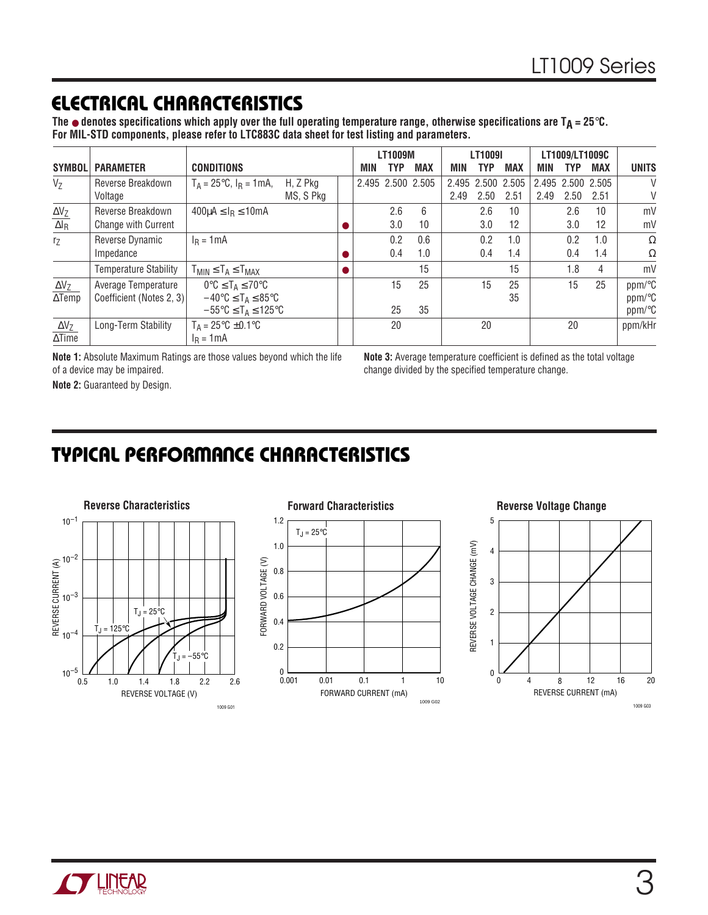### **ELECTRICAL CHARACTERISTICS**

**The** ● **denotes specifications which apply over the full operating temperature range, otherwise specifications are TA = 25**°**C. For MIL-STD components, please refer to LTC883C data sheet for test listing and parameters.**

|                                             |                              |                                                              |           |                   | <b>LT1009M</b> |            |      | LT1009I    |                   |      | LT1009/LT1009C    |                   |                        |
|---------------------------------------------|------------------------------|--------------------------------------------------------------|-----------|-------------------|----------------|------------|------|------------|-------------------|------|-------------------|-------------------|------------------------|
| <b>SYMBOL</b>                               | <b>PARAMETER</b>             | <b>CONDITIONS</b>                                            |           | MIN               | TYP            | <b>MAX</b> | MIN  | <b>TYP</b> | <b>MAX</b>        | MIN  | TYP.              | MAX               | <b>UNITS</b>           |
| $V_{Z}$                                     | Reverse Breakdown            | $T_A = 25^{\circ}C$ , $I_R = 1 \text{mA}$ ,                  | H, Z Pkg  | 2.495 2.500 2.505 |                |            |      |            | 2.495 2.500 2.505 |      | 2.495 2.500 2.505 |                   | V                      |
|                                             | Voltage                      |                                                              | MS, S Pkg |                   |                |            | 2.49 | 2.50       | 2.51              | 2.49 | 2.50              | 2.51              | V                      |
| $\Delta V_Z$                                | Reverse Breakdown            | $400\mu$ A $\leq$ I <sub>R</sub> $\leq$ 10mA                 |           |                   | 2.6            | 6          |      | 2.6        | 10                |      | 2.6               | 10                | mV                     |
| $\overline{\Delta \mathsf{l}_{\mathsf{R}}}$ | <b>Change with Current</b>   |                                                              |           |                   | 3.0            | 10         |      | 3.0        | 12                |      | 3.0               | $12 \overline{ }$ | mV                     |
| $r_Z$                                       | Reverse Dynamic              | $I_R = 1mA$                                                  |           |                   | 0.2            | 0.6        |      | 0.2        | 1.0               |      | 0.2               | 1.0               | $\Omega$               |
|                                             | Impedance                    |                                                              |           |                   | 0.4            | 1.0        |      | 0.4        | 1.4               |      | 0.4               | 1.4               | $\Omega$               |
|                                             | <b>Temperature Stability</b> | $T_{MIN} \leq T_A \leq T_{MAX}$                              |           |                   |                | 15         |      |            | 15                |      | 1.8               | 4                 | mV                     |
| $\Delta V_Z$                                | Average Temperature          | $0^{\circ}C \leq T_A \leq 70^{\circ}C$                       |           |                   | 15             | 25         |      | 15         | 25                |      | 15                | 25                | ppm/°C                 |
| $\Delta$ Temp                               | Coefficient (Notes 2, 3)     | $-40^{\circ}$ C $\leq$ T <sub>A</sub> $\leq$ 85 $^{\circ}$ C |           |                   |                |            |      |            | 35                |      |                   |                   | $ppm$ <sup>o</sup> $C$ |
|                                             |                              | $-55^{\circ}$ C $\leq$ T <sub>A</sub> $\leq$ 125°C           |           |                   | 25             | 35         |      |            |                   |      |                   |                   | $ppm$ <sup>o</sup> C   |
| $\Delta V_Z$                                | Long-Term Stability          | $T_A = 25^{\circ}C \pm 0.1^{\circ}C$                         |           |                   | 20             |            |      | 20         |                   |      | 20                |                   | ppm/kHr                |
| $\Delta$ Time                               |                              | $I_R = 1mA$                                                  |           |                   |                |            |      |            |                   |      |                   |                   |                        |

**Note 1:** Absolute Maximum Ratings are those values beyond which the life of a device may be impaired.

**Note 3:** Average temperature coefficient is defined as the total voltage change divided by the specified temperature change.

**Note 2:** Guaranteed by Design.

## **TYPICAL PERFORMANCE CHARACTERISTICS**





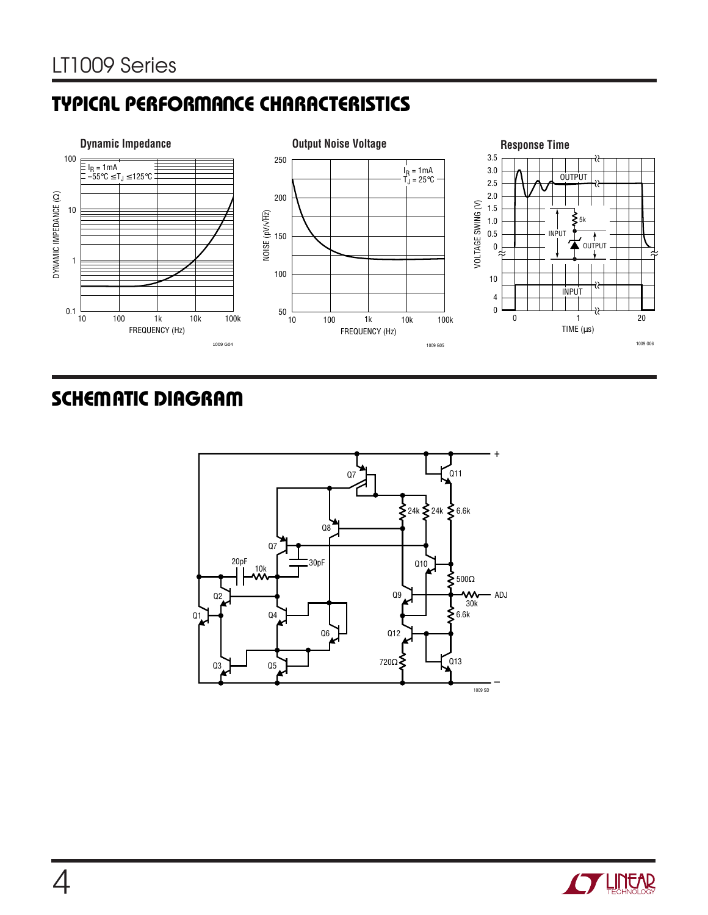# **TYPICAL PERFORMANCE CHARACTERISTICS**



# **SCHEMATIC DIAGRAM**



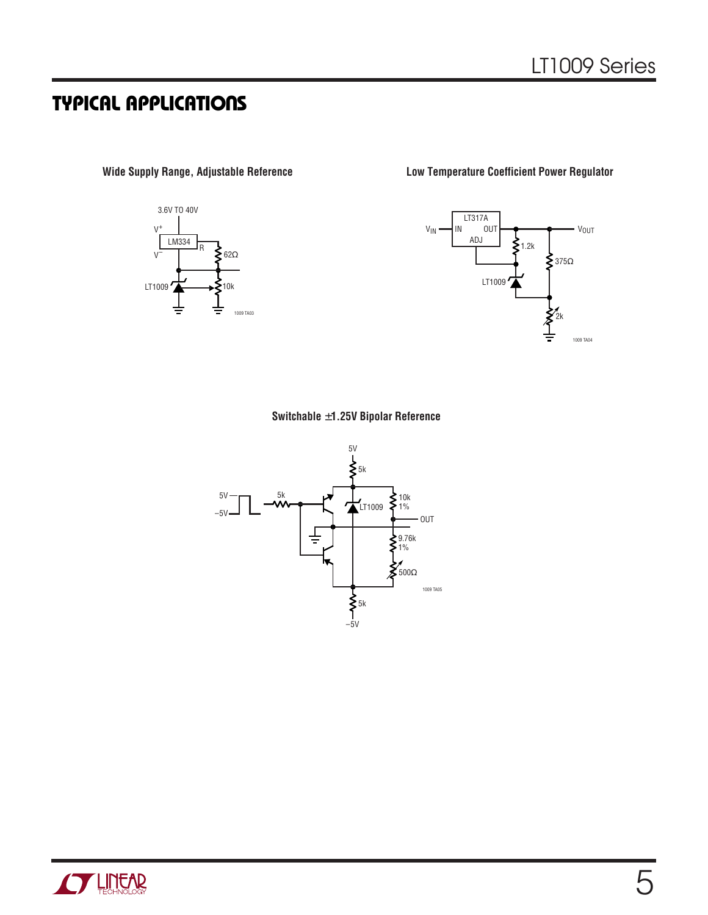# **TYPICAL APPLICATIONS**



**Wide Supply Range, Adjustable Reference Low Temperature Coefficient Power Regulator**



#### **Switchable** ±**1.25V Bipolar Reference**



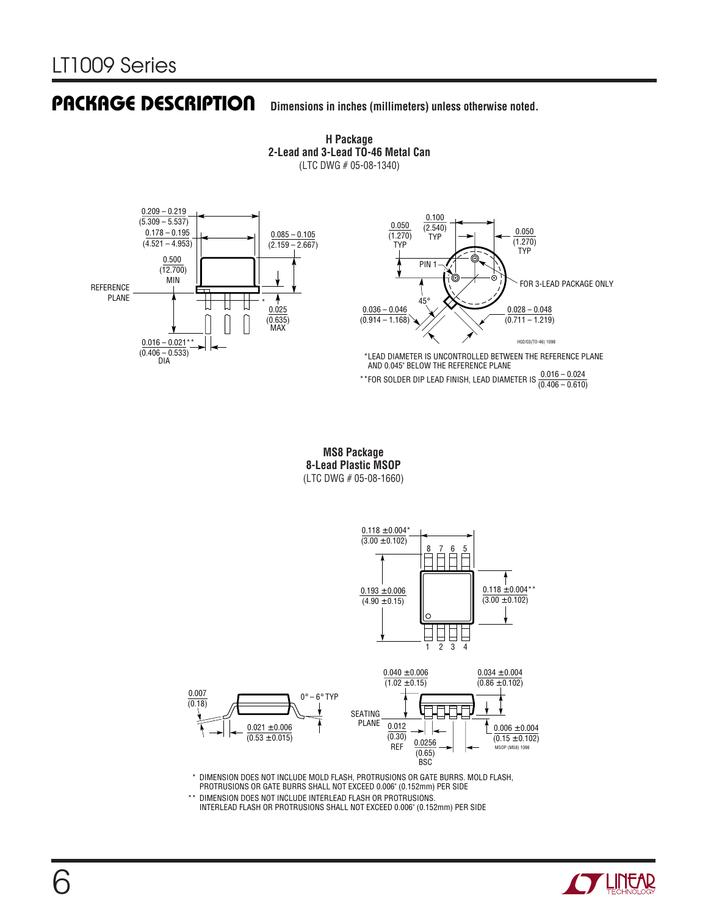#### **Dimensions in inches (millimeters) unless otherwise noted. PACKAGE DESCRIPTION**

**H Package 2-Lead and 3-Lead TO-46 Metal Can** (LTC DWG # 05-08-1340)





LEAD DIAMETER IS UNCONTROLLED BETWEEN THE REFERENCE PLANE \* AND 0.045" BELOW THE REFERENCE PLANE

\*\*FOR SOLDER DIP LEAD FINISH, LEAD DIAMETER IS  $\frac{0.016 - 0.024}{(0.406 - 0.610)}$ 

**MS8 Package 8-Lead Plastic MSOP** (LTC DWG # 05-08-1660)





\* DIMENSION DOES NOT INCLUDE MOLD FLASH, PROTRUSIONS OR GATE BURRS. MOLD FLASH, PROTRUSIONS OR GATE BURRS SHALL NOT EXCEED 0.006" (0.152mm) PER SIDE

\*\* DIMENSION DOES NOT INCLUDE INTERLEAD FLASH OR PROTRUSIONS. INTERLEAD FLASH OR PROTRUSIONS SHALL NOT EXCEED 0.006" (0.152mm) PER SIDE

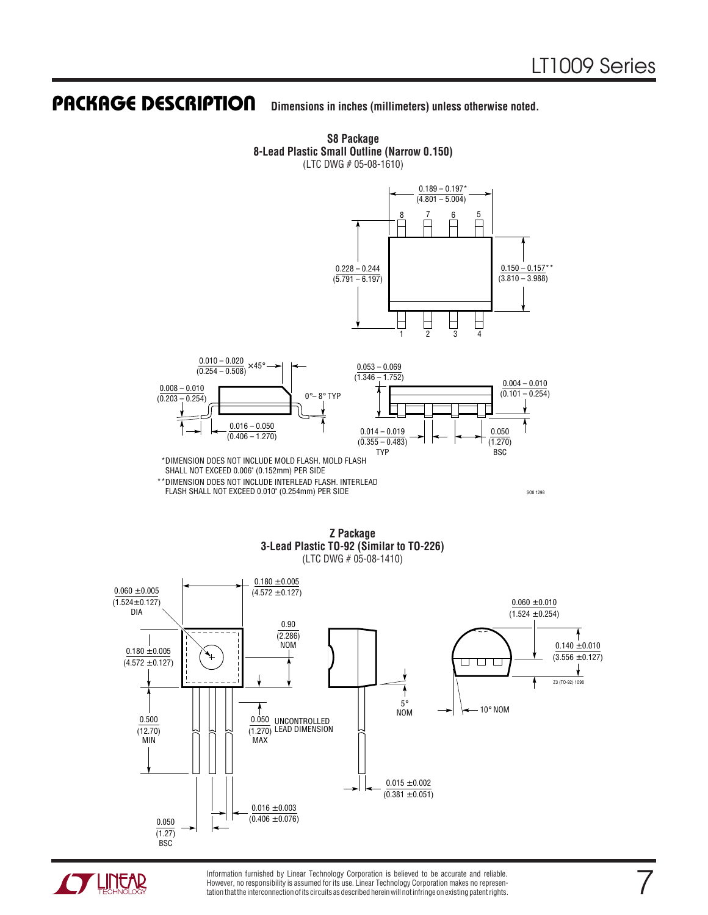7

#### **Dimensions in inches (millimeters) unless otherwise noted. PACKAGE DESCRIPTION**



**S8 Package**

**Z Package 3-Lead Plastic TO-92 (Similar to TO-226)** (LTC DWG # 05-08-1410)





Information furnished by Linear Technology Corporation is believed to be accurate and reliable. However, no responsibility is assumed for its use. Linear Technology Corporation makes no representation that the interconnection of its circuits as described herein will not infringe on existing patent rights.